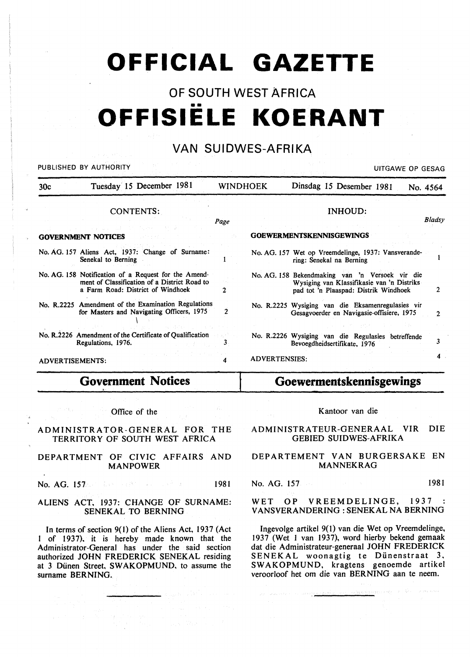# **OFFICIAL GAZETTE**

# OF SOUTH WEST AFRICA •• **OFFISIELE KOERANT**

# VAN SUIDWES-AFRIKA

PUBLISHED BY AUTHORITY AND RESIDENT STATES OF GESAGE OP GESAGE AND RESIDENT STATES OF GESAGE OP GESAGE AND RESIDENT STATES OF GESAGE AND RESIDENT STATES OF GESAGE AND RESIDENT STATES OF GESAGE AND RESIDENT STATES OF GESAGE

| 30c                    | Tuesday 15 December 1981                                                                                                                  | <b>WINDHOEK</b> |               | Dinsdag 15 Desember 1981<br>No. 4564                                                                                                   |        |
|------------------------|-------------------------------------------------------------------------------------------------------------------------------------------|-----------------|---------------|----------------------------------------------------------------------------------------------------------------------------------------|--------|
|                        | CONTENTS:                                                                                                                                 |                 |               | <b>INHOUD:</b>                                                                                                                         |        |
|                        |                                                                                                                                           | Page            |               |                                                                                                                                        | Bladsy |
|                        | <b>GOVERNMENT NOTICES</b>                                                                                                                 |                 |               | <b>GOEWERMENTSKENNISGEWINGS</b>                                                                                                        |        |
|                        | No. AG. 157 Aliens Act, 1937: Change of Surname:<br>Senekal to Berning                                                                    |                 |               | No. AG. 157 Wet op Vreemdelinge, 1937: Vansverande-<br>ring: Senekal na Berning                                                        |        |
|                        | No. AG. 158 Notification of a Request for the Amend-<br>ment of Classification of a District Road to<br>a Farm Road: District of Windhoek | 2               |               | No. AG. 158 Bekendmaking van 'n Versoek vir die<br>Wysiging van Klassifikasie van 'n Distriks<br>pad tot 'n Plaaspad: Distrik Windhoek | 2      |
|                        | No. R.2225 Amendment of the Examination Regulations<br>for Masters and Navigating Officers, 1975                                          | 2               |               | No. R.2225 Wysiging van die Eksamenregulasies vir<br>Gesagvoerder en Navigasie-offisiere, 1975                                         | 2      |
|                        | No. R.2226 Amendment of the Certificate of Qualification<br>Regulations, 1976.                                                            |                 |               | No. R.2226 Wysiging van die Regulasies betreffende<br>Bevoegdheidsertifikate, 1976                                                     |        |
| <b>ADVERTISEMENTS:</b> |                                                                                                                                           |                 | ADVERTENSIES: |                                                                                                                                        |        |

# **Government Notices**

Office of the

#### ADMINISTRATOR-GENERAL FOR THE TERRITORY OF SOUTH WEST AFRICA

#### DEPARTMENT OF CIVIC AFFAIRS AND MANPOWER

No. AG. 157 **1981** 

#### ALIENS ACT, 1937: CHANGE OF SURNAME: SENEKAL TO BERNING

In terms of section 9( l) of the Aliens Act, 1937 (Act of 1937). it is hereby made known that the Administrator-General has under the said section authorized JOHN FREDERICK SENEKAL residing at 3 Dünen Street, SWAKOPMUND, to assume the surname BERNING.

# **Goewermentskennisgewings**

#### Kantoor van die

#### ADMINISTRATEUR-GENERAAL VIR DIE GEBIED SUIDWES-AFRIKA

#### DEPARTEMENT VAN BURGERSAKE EN MANNEKRAG

### No. AG. 157 1981

#### WET OP VREEMDELINGE, 1937 V ANSVERANDERING : SENEKAL NA BERNING

Ingevolge artikel 9(1) van die Wet op Vreemdelinge, 1937 (Wet I van 1937), word hierby bekend gemaak dat die Administrateur-generaal JOHN FREDERICK SENEKAL woonagtig te Dünenstraat 3, SW AKOPMUND, kragtens genoemde artikel veroorloof het om die van BERNING aan te neem.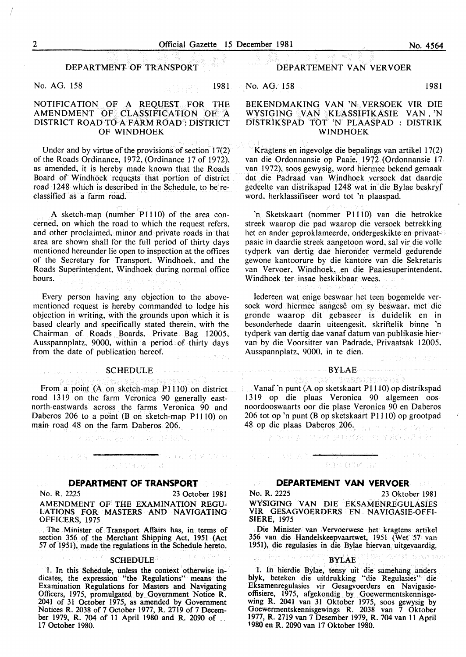#### DEPARTMENT OF TRANSPORT

No. AG. 158 1981

#### NOTIFICATION OF A REQUEST FOR THE AMENDMENT OF CLASSIFICATION OF A DISTRICT ROAD TO A FARM ROAD : DISTRICT OF WINDHOEK

Under and by virtue of the provisions of section 17(2) of the Roads Ordinance, 1972, (Ordinance 17 of 1972), as amended, it is hereby made known that the Roads Board of Windhoek requests that portion of district road 1248 which is described in the Schedule, to be reclassified as a farm road.

A sketch-map (number P1110) of the area concerned, on which the road to which the request refers, and other proclaimed, minor and private roads in that area are shown shall for the full period of thirty days mentioned hereunder lie open to inspection at the offices of the Secretary for Transport, Windhoek, and the Roads Superintendent, Windhoek during normal office hours. ing n

Every person having any objection to the abovementioned request is hereby commanded to lodge his objection in writing, with the grounds upon which it is based clearly and specifically stated therein, with the Chairman of Roads Boards, Private Bag 12005, Ausspannplatz, 9000, within a period of thirty days from the date of publication hereof.

#### SCHEDULE **SCHEDULE**

From a point (A on sketch-map P1110) on district road 1319 on the farm Veronica 90 generally eastnorth-eastwards across the farms Veronica 90 and Daberos 206 to a point  $(B \text{ on sketch-mao P1110})$  on main road 48 on the farm Daberos 206. **Report Follows** 

不语言障碍 防止坏失 过轻 后指出原则

# 言法(8文/45号4つ)記

"现在我的学生学习的第三

#### **DEPARTMENT OF TRANSPORT**  小管 泰。

No. R. 2225 23 October 1981

이미 <sub>공장</sub>국왕이를

والتوارد والمتواطن والمتواطن

AMENDMENT OF THE EXAMINATION REGU-LATIONS FOR MASTERS AND NAVIGATING OFFICERS, 1975

The Minister of Transport Affairs has, in terms of section 356 of the Merchant Shipping Act, 1951 (Act 57 of 1951), made the regulations in the Schedule hereto.

#### **SCHEDULE**

I. In this Schedule, unless the context otherwise indicates, the expression "the Regulations" means the Examination Regulations for Masters and Navigating Officers, 1975, promulgated by Government Notice R. 2041 of 31 October 1975, as amended by Government Notices R. 2038 of 7 October 1977, R. 2719 of 7 December 1979, R. 704 of 11 April 1980 and R. 2090 of . 17 October 1980.

#### DEPARTEMENT VAN VERVOER

No. AG. 158 1981

#### BEKENDMAKING VAN 'N VERSOEK VIR DIE WYSIGING VAN KLASSIFIKASIE VAN , 'N DISTRIKSPAD TOT 'N PLAASPAD : DISTRIK WINDHOEK

Kragtens en ingevolge die bepalings van artikel 17(2) van die Ordonnansie op Paaie, 1972 (Ordonnansie 17 van 1972), soos gewysig, word hiermee bekend gemaak dat die Padraad van Windhoek versoek dat daardie gedeelte van distrikspad 1248 wat in die Bylae beskryf word, herklassifiseer word tot 'n plaaspad.

'n Sketskaart (nommer P1110) van die betrokke streek waarop die pad waarop die versoek betrekking het en ander geproklameerde, ondergeskikte en privaatpaaie in daardie streek aangetoon word, sal vir die volle tydperk van dertig dae hieronder vermeld gedurende gewone kantoorure by die kantore van die Sekretaris van Vervoer, Windhoek, en die Paaiesuperintendent, Windhoek ter insae beskikbaar wees.

Iedereen wat enige beswaar het teen bogemelde versoek word hiermee aangese om sy beswaar. met die gronde waarop dit gebaseer is duidelik en in besonderhede daarin uiteengesit, skriftelik binne 'n tydperk van dertig dae vanaf datum van publikasie hiervan by die Voorsitter van Padrade, Privaatsak 12005, Ausspannplatz, 9000, in te dien.

#### $BYLAE$  . The contract of the  $BYLAE$  and the contract of the contract of the  $\sim$

samoval)

 $\blacktriangleright$  (  $\bowtie$  ,  $\bowtie$  )  $\bowtie$  (  $\bowtie$ 

ag Gill Fesca and

Vanaf 'n punt (A op sketskaart P 1110) op distrikspad 1319 op die plaas Veronica 90 algemeen oosnoordooswaarts oor die p1ase Veronica 90 en Daberos 206 tot op 'n punt (B op sketskaart PIIIO) op grootpad 48 op die plaas Daberos 206. **国际性 対 歯ぎをする** 

(公) 四人 的复数人民事长的名词复数 医无异子的

机冲力 多好医学法

#### 知来び評に立

#### **DEPARTEMENT VAN VERVOER**

No. R. 2225 23 Oktober 1981 WYSIGING VAN DIE EKSAMENREGULASIES VIR GESAGVOERDERS EN NAVIGASIE-OFFI-SIERE, 1975

Die Minister van Vervoerwese het kragtens artikel 356 van die Handelskeepvaartwet, 1951 (Wet 57 van 1951), die regulasies in die Bylae hiervan uitgevaardig.

#### BYLAE

I. In hierdie Bylae, tensy uit die samehang anders blyk, beteken die uitdrukking "die Regulasies" die Eksamenregulasies vir Gesagvoerders en Navigasieoffisiere, 1975, afgekondig by Goewermentskennisgewing R. 2041 van 31 Oktober 1975, soos gewysig by Goewermentskennisgewings R. 2038 van 7 Oktober 1977, R. 2719 van 7 Desember 1979, R. 704 van 11 April 1980 en R. 2090 van 17 Oktober 1980.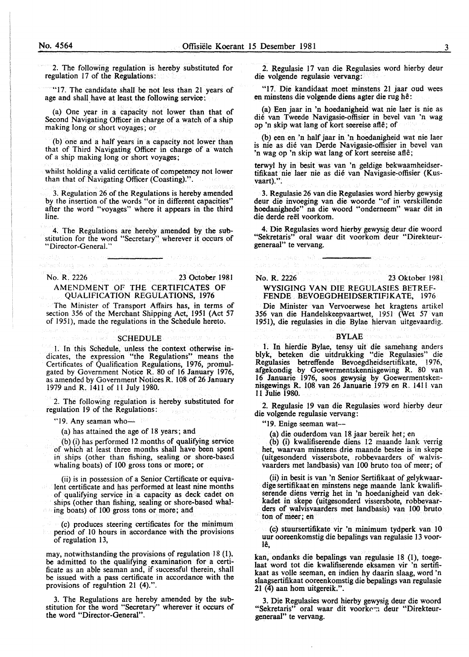2. The following regulation is hereby substituted for regulation 17 of the Regulations:

"17. The candidate shall be not less than 21 years of age and shall have at least the following service:

(a) One year in a capacity not lower than that of Second Navigating Officer in charge of a watch of a ship making long or short voyages; or

(b) one and a half years in a capacity. not lower than that of Third Navigating Officer in charge of a watch of a ship making long or short voyages;

whilst holding a valid certificate of competency not lower than that of Navigating Officer (Coasting).".

3. Regulation 26 of the Regulations is hereby amended by the insertion of the words "or in different capacities" after the word "voyages" where it appears in the third line.

4. The Regulations are hereby amended by the substitution for the word "Secretary" wherever it occurs of "Director-General."

prihacštvog pri us ladv

No. R. 2226 23 October 1981 AMENDMENT OF THE CERTIFICATES OF QUALIFICATION REGULATIONS, 1976

มารถเพื่อคลที่ (A.T

The Minister of Transport Affairs has, in terms of section 356 of the Merchant Shipping Act, 1951 (Act 57 of 1951 ), made the regulations in the Schedule hereto.

#### SCHEDULE<sup>.</sup>

l. In this Schedule, unless the context otherwise indicates, the expression "the Regulations" means the Certificates of Qualification Regulations, 1976, promulgated by Government Notice R. 80 of 16 January 1976, as amended by Government Notices R. 108 of 26 January 1979 and R. 1411 of ll July 1980.

2. The following regulation is hereby substituted for regulation 19 of the Regulations:

"19. Any seaman who- $\sim$ 

(a) has attained the age of 18 years; and

(b) (i) has performed 12 months of qualifying service of which at least three months shall have been spent in ships (other than fishing, sealing or shore-based whaling boats) of 100 gross tons or more; or

(ii) is in possession of a Senior Certificate or equivalent certificate and has performed at least nine months of qualifying service in a capacity as deck cadet on ships (other than fishing, sealing or shore-based whaling boats) of 100 gross tons or more; and

(c) produces steering certificates for the minimum period of lO hours in accordance with the provisions of regulation 13,

may, notwithstanding the provisions of regulation  $18(1)$ , be admitted to the qualifying examination for a certificate as an able seaman and, if successful therein, shall be issued with a pass certificate in accordance with the provisions of reguhtion 21 (4).".

3. The Regulations are hereby amended by the substitution for the word "Secretary" wherever it occurs of the word "Director-General".

2. Regulasie 17 van die Regulasies word hierby deur die volgende regulasie vervang:

"17. Die kandidaat moet minstens 21 jaar oud wees en minstens die volgende diens agter die rug he:

(a) Een jaar in 'n hoedanigheid wat nie laer is nie as die van Tweede Navigasie-offisier in bevel van 'n wag op 'n skip wat lang of kort seereise afte; of

(b) een en 'n half jaar in 'n hoedanigheid wat nie laer is nie as die van Derde Navigasie-offisier in bevel van 'n wag op 'n skip wat lang of kort seereise aftê;

terwyl hy in besit was van 'n geldige bekwaamheidsertifikaat nie laer nie as die van Navigasie-offisier (Kusvaart).".

3. Regulasie 26 van die Regulasies word hierby gewysig deur die invoeging van die woorde "of in verskillende hoedanighede" na die woord "onderneem" waar dit in die derde reël voorkom.

4. Die Regulasies word hierby gewysig deur die woord "Sekretaris" oral waar dit voorkom deur "Direkteurgeneraal" te vervang.

# No. R. 2226 23 Oktober 1981

n di sacamente, néces

#### WYSIGING VAN DIE REGULASIES BETREF-FENDE BEVOEGDHEIDSERTIFJKATE, 1976

ាមរាជអា

Die Minister van Vervoerwese bet kragtens artikel 356 van die Handelskeepvaartwet, 1951 (Wet 57 van 1951), die regulasies in die Bylae hiervan uitgevaardig.

#### **BYLAE**

1. In hierdie Bylae, tensy uit die samehang anders blyk, beteken die uitdrukking "die Regulasies" die Regulasies betreffende Bevoegdheidsertifikate, 1976, afgekondig ,by Goewermentskennisgewing R. 80 van 16 Januarie 1976, soos gewysig by Goewermentskennisgewings R. 108 van 26 Januarie 1979 en R. 14ll van 11 Julie 1980.

2. Regulasie 19 van die Regulasies word hierby deur die volgende regulasie vervang:

"19. Enige seeman wat--

(a) die ouderdom van 18 jaar bereik bet; en

(b) (i) kwalifiserende diens 12 maande lank verrig het, waarvan minstens drie maande bestee is in skepe (uitgesonderd vissersbote, robbevaarders of walvisvaarders met landbasis) van 100 bruto ton of meer; of

(ii) in besit is van 'n Senior Sertifikaat of gelykwaardige sertifikaat en minstens nege maande lank kwalifiserende diens verrig bet in 'n hoedanigheid van dekkadet in skepe (uitgesonderd vissersbote, robbevaarders of walvisvaarders met landbasis) van 100 bruto ton of meer; en

(c) stuursertifikate vir 'n minimum tydperk van IO uur ooreenkomstig die bepalings van regulasie 13 voor~ Ie,

kan, ondanks die bepalings van regulasie 18 (I), toegelaat word tot die kwalifiserende eksamen vir 'n sertifikaat as voile seeman, en indien hy daarin slaag, word 'n slaagsertifikaat ooreenkomstig die bepalings van regulasie  $21$  ( $\tilde{4}$ ) aan hom uitgereik.".

3. Die Regulasies word hierby gewysig deur die woord "Sekretaris" oral waar dit voorkom deur "Direkteurgeneraal" te vervang.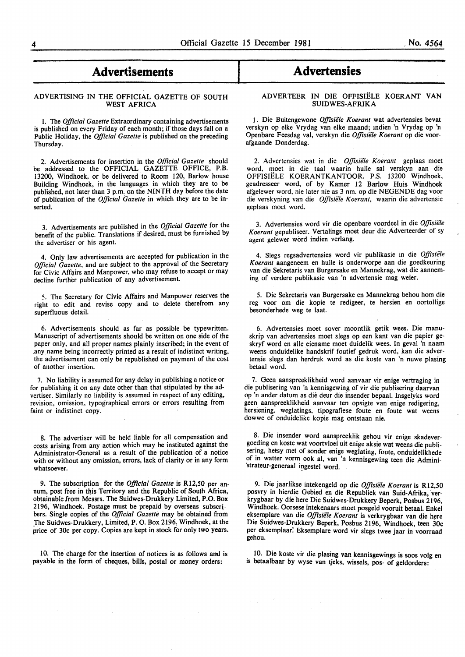### **Advertisements**

#### ADVERTISING IN THE OFFICIAL GAZETTE OF SOUTH WEST AFRICA

I. The *Official Gazette* Extraordinary containing advertisements is published on every Friday of each month; if those days fall on a Public Holiday, the *Official Gazette* is published on the preceding Thursday.

4. Advertisements for insertion in the *Official Gazette* should be addressed to the OFFICIAL GAZETTE OFFICE, P.B. 13200, Windhoek, or be delivered to Room 120, Barlow house Building Windhoek, in the languages in which they are to be published, not later than 3 p.m. on the NINTH day before the date of publication of the *Official Gazette* in which they are to be inserted.

3. Advertisements are published in the *Official Gazette* for the benefit of the public. Translations if desired, must be furnished by the advertiser or his agent.

4. Only law advertisements are accepted for publication in the *Official Gazette,* and are subject to the approval of the Secretary for Civic Affairs and Manpower, who may refuse to accept or may decline further publication of any advertisement.

5. The Secretary for Civic Affairs and Manpower reserves the right to edit and revise copy and to delete therefrom any superfluous detail.

6. Advertisements should as far as possible be typewritten. Manuscript of advertisements should be written on one side of the paper only, and all proper names plainly inscribed; in the event of .any name being incorrectly printed as a result of indistinct writing, the advertisement can only be republished on payment of the cost of another insertion.

7. No liability is assumed for any delay in publishing a notice or for publishing it on any date other than that stipulated by the advertiser. Similarly no liability is assumed in respect of any editing, revision, omission, typographical errors or errors resulting from faint or indistinct copy.

8. The advertiser will be held liable for all compensation and costs arising from any action which may be instituted against the Administrator-General as a result of the publication of a notice with or without any omission, errors, lack of clarity or in any form whatsoever.

9. The subscription for the *Official Gazette* is Rl2,50 per annum, post free in this Territory and the Republic of South Africa, obtainable from Messrs. The Suidwes-Drukkery Limited, P.O. Box 2196, Windhoek. Postage must be prepaid by overseas subscribers. Single copies of the *Official Gazette* may be obtained from The Suidwes-Drukkery, Limited, P. O. Box 2196, Windhoek, at the price of 30c per copy. Copies are kept in stock for only two years.

10. The charge for the insertion of notices is as follows and is payable in the form of cheques, bills, postal or money orders:

## I **Advertensies**

#### ADVERTEER IN DIE OFFISIELE KOERANT VAN SUIDWES-AFRIKA

1. Die Buitengewone *Offisiele Koerant* wat advertensies bevat verskyn op elke Vrydag van elke maand; indien 'n Vrydag op 'n Openbare Feesdag val, verskyn die *Offisiele Koerant* op die voorafgaande Donderdag.

2. Advertensies wat in die *Offisiele Koerant* geplaas moet word, moet in die taal waarin hulle sal verskyn aan die OFFISIELE KOERANTKANTOOR, P.S. 13200 Windhoek. geadresseer word, of by Kamer 12 Barlow Huis Windhoek afgelewer word, nie later nie as 3 nm. op die NEGENDE dag voor die verskyning van die *Offisiele Koerant,* waarin die advertensie geplaas moet word.

3. Advertensies word vir die openbare voordeel in die *Offisiele Koerant* gepubliseer. Vertalings moet deur die Adverteerder of sy agent gelewer word indien verlang.

4. Slegs regsadvertensies word vir publikasie in die *Offisiele Koerant* aangeneem en hulle is onderworpe aan die goedkeuring van die Sekretaris van Burgersake en Mannekrag, wat die aanneming of verdere publikasie van 'n advertensie mag weier.

5. Die Sekretaris van Burgersake en Mannekrag behou hom die reg voor om die kopie te redigeer, te hersien en oortollige besonderhede weg te laat.

6. Advertensies moet sover moontlik getik wees. Die manuskrip van advertensies moet slegs op een kant van die papier geskryf word en aile eiename moet duidelik wees. In geval 'n naam weens onduidelike handskrif foutief gedruk word, kan die advertensie slegs dan herdruk word as die koste van 'n nuwe plasing betaal word.

7. Geen aanspreeklikheid word aanvaar vir enige vertraging in die publisering van 'n kennisgewing of vir die publisering daarvan op 'n ander datum as die deur die insender bepaal. Insgelyks word geen aanspreeklikheid aanvaar ten opsigte van enige redigering, hersiening, weglatings, tipografiese foute en foute wat weens dowwe of onduidelike kopie mag ontstaan nie.

8. Die insender word aanspreeklik gehou vir enige skadevergoeding en koste wat voortvloei uit enige aksie wat weens die publisering, hetsy met of sonder enige weglating, foute, onduidelikhede of in watter vorm ook al, van 'n kennisgewing teen die Admini strateur-generaal ingestel word.

9. Die jaarlikse intekengeld op die *Offisiele Koerant* is Rl2,50 posvry in hierdie Gebied en die Republiek van Suid-Afrika, verkrygbaar by die here Die Suidwes-Drukkery Beperk, Posbus 2196, Windhoek. Oorsese intekenaars moet posgeld vooruit betaal. Enkel eksemplare van die Offisiële Koerant is verkrygbaar van die here Die Suidwes-Drukkery Beperk, Posbus 2196, Windhoek, teen 30c per eksemplaar: Eksemplare word vir slegs twee jaar in voorraad gehou.

10. Die koste vir die plasing van kennisgewings is soos volg en is betaalbaar by wyse van tjeks, wissels, pos- of geldorders: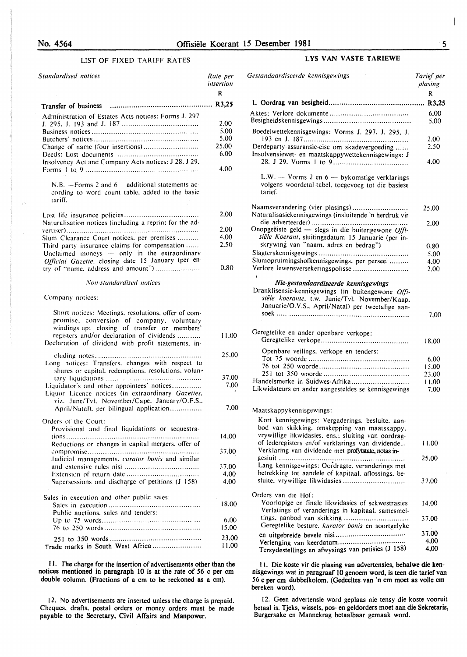#### LIST OF FIXED TARIFF RATES

| Standardised notices                                                                                                                                                                                                                                 | Rate per<br>insertion<br>R                    |
|------------------------------------------------------------------------------------------------------------------------------------------------------------------------------------------------------------------------------------------------------|-----------------------------------------------|
|                                                                                                                                                                                                                                                      |                                               |
| Administration of Estates Acts notices: Forms J. 297<br>Change of name (four insertions)<br>Insolvency Act and Company Acts notices: J 28, J 29,                                                                                                     | 2.00<br>5.00<br>5.00<br>25,00<br>6.00<br>4.00 |
| N.B. $-Forms$ 2 and 6 -additional statements ac-<br>cording to word count table, added to the basic<br>tariff.                                                                                                                                       |                                               |
| Naturalisation notices (including a reprint for the ad-                                                                                                                                                                                              | 2.00                                          |
|                                                                                                                                                                                                                                                      | 2.00                                          |
| Slum Clearance Court notices, per premises                                                                                                                                                                                                           | 4.00                                          |
| Third party insurance claims for compensation<br>Unclaimed moneys - only in the extraordinary<br>Official Gazette, closing date 15 January (per en-<br>try of "name, address and amount")                                                            | 2.50<br>0.80                                  |
| Non-standardised notices                                                                                                                                                                                                                             |                                               |
| Company notices:                                                                                                                                                                                                                                     |                                               |
| Short notices: Meetings, resolutions, offer of com-<br>promise, conversion of company, voluntary<br>windings up: closing of transfer or members'<br>registers and/or declaration of dividends<br>Declaration of dividend with profit statements, in- | 11.00                                         |
| Long notices: Transfers, changes with respect to<br>shares or capital, redemptions, resolutions, volun-                                                                                                                                              | 25,00                                         |
| Liquidator's and other appointees' notices<br>Liquor Licence notices (in extraordinary Gazettes,<br>viz. June/Tvl. November/Cape. January/O.F.S                                                                                                      | 37.00<br>7.00                                 |
| April/Natal), per bilingual application<br>Orders of the Court:                                                                                                                                                                                      | 7.00                                          |
| Provisional and final liquidations or sequestra-<br>Reductions or changes in capital mergers, offer of                                                                                                                                               | 14,00                                         |
| Judicial managements, curator bonis and similar                                                                                                                                                                                                      | 37,00                                         |
| Supersessions and discharge of petitions (J 158)                                                                                                                                                                                                     | 37,00<br>4,00<br>4,00                         |
| Sales in execution and other public sales:<br>Public auctions, sales and tenders:                                                                                                                                                                    | 18.00                                         |
|                                                                                                                                                                                                                                                      | 6.00<br>15.00                                 |
| Trade marks in South West Africa                                                                                                                                                                                                                     | 23,00<br>11.00                                |

1 I. The charge for the insertion of advertisements other than the notices mentioned in paragraph 10 is at the rate of 56 c per em double column. (Fractions of a em to be reckoned as a em).

12. No advertisements are inserted unless the charge is prepaid. Cheques. drafts. postal orders or money orders must be made payable to the Secretary, Civil Affairs and Manpower.

#### LYS VAN VASTE TARIEWE

| Gestandaardiseerde kennisgewings                                                                                                                                                                  | Tarief per<br>plasing |
|---------------------------------------------------------------------------------------------------------------------------------------------------------------------------------------------------|-----------------------|
|                                                                                                                                                                                                   | R                     |
|                                                                                                                                                                                                   |                       |
|                                                                                                                                                                                                   | 6.00<br>5.00          |
| Boedelwettekennisgewings: Vorms J. 297, J. 295, J.                                                                                                                                                |                       |
|                                                                                                                                                                                                   | 2.00                  |
| Derdeparty-assuransie-eise om skadevergoeding<br>Insolvensiewet- en maatskappywettekennisgewings: J                                                                                               | 2.50                  |
|                                                                                                                                                                                                   | 4,00                  |
| $L.W.$ — Vorms 2 en 6 — bykomstige verklarings<br>volgens woordetal-tabel, toegevoeg tot die basiese<br>tarief.                                                                                   |                       |
| Naamsverandering (vier plasings)<br>Naturalisasiekennisgewings (insluitende 'n herdruk vir                                                                                                        | 25.00                 |
|                                                                                                                                                                                                   | 2.00                  |
| Onopgeëiste geld - slegs in die buitengewone Offi-                                                                                                                                                |                       |
| siële Koerant, sluitingsdatum 15 Januarie (per in-                                                                                                                                                |                       |
| skrywing van "naam, adres en bedrag")                                                                                                                                                             | 0.80                  |
| Slumopruimingshofkennisgewings, per perseel                                                                                                                                                       | 5.00                  |
| Verlore lewensversekeringspolisse                                                                                                                                                                 | 4,00<br>2.00          |
|                                                                                                                                                                                                   |                       |
| Nie-gestandaardiseerde kennisgewings<br>Dranklisensie-kennisgewings (in buitengewone Offi-<br>siële koerante, t.w. Junie/Tvl. November/Kaap.<br>Januarie/O.V.S., April/Natal) per tweetalige aan- |                       |
|                                                                                                                                                                                                   | 7.00                  |
| Geregtelike en ander openbare verkope:                                                                                                                                                            | 18.00                 |
| Openbare veilings, verkope en tenders:                                                                                                                                                            |                       |
|                                                                                                                                                                                                   | 6.00                  |
|                                                                                                                                                                                                   | 15,00                 |
|                                                                                                                                                                                                   | 23.00                 |
| Handelsmerke in Suidwes-Afrika<br>Likwidateurs en ander aangesteldes se kennisgewings                                                                                                             | 11.00<br>7.00         |
|                                                                                                                                                                                                   |                       |
| Maatskappykennisgewings:                                                                                                                                                                          |                       |
| Kort kennisgewings: Vergaderings, besluite, aan-<br>bod van skikking, omskepping van maatskappy,<br>vrywillige likwidasies. ens.: sluiting van oordrag-                                           |                       |
| of lederegisters en/of verklarings van dividende<br>Verklaring van dividende met profytstate, notas in-                                                                                           | 11.00                 |
|                                                                                                                                                                                                   | 25,00                 |
| Lang kennisgewings: Oordragte, veranderings met                                                                                                                                                   |                       |
| betrekking tot aandele of kapitaal, aflossings, be-<br>sluite, vrywillige likwidasies                                                                                                             | 37.00                 |
| Orders van die Hof:                                                                                                                                                                               |                       |
| Voorlopige en finale likwidasies of sekwestrasies                                                                                                                                                 | 14.00                 |
| Verlatings of veranderings in kapitaal, samesmel-                                                                                                                                                 |                       |
| tings, aanbod van skikking<br>Geregtelike besture, kurator bonis en soortgelyke                                                                                                                   | 37.00                 |
|                                                                                                                                                                                                   | 37,00                 |
|                                                                                                                                                                                                   | 4,00                  |
| Tersydestellings en afwysings van petisies (J 158)                                                                                                                                                | 4,00                  |

11. Die koste vir die plasing van advertensies, behalwe die kennisgewings wat in paragraaf 10 genoem word, is teen die tarief van *56* c per em dubbelkolom. (Gedeeltes van 'n em moet as volle em bereken word).

12. Geen advertensie word geplaas nie tensy die koste vooruit betaal is. Tjeks, wissels, pos- en geldorders moet aan die Sekretaris, Burgersake en Mannekrag betaalbaar gemaak word.